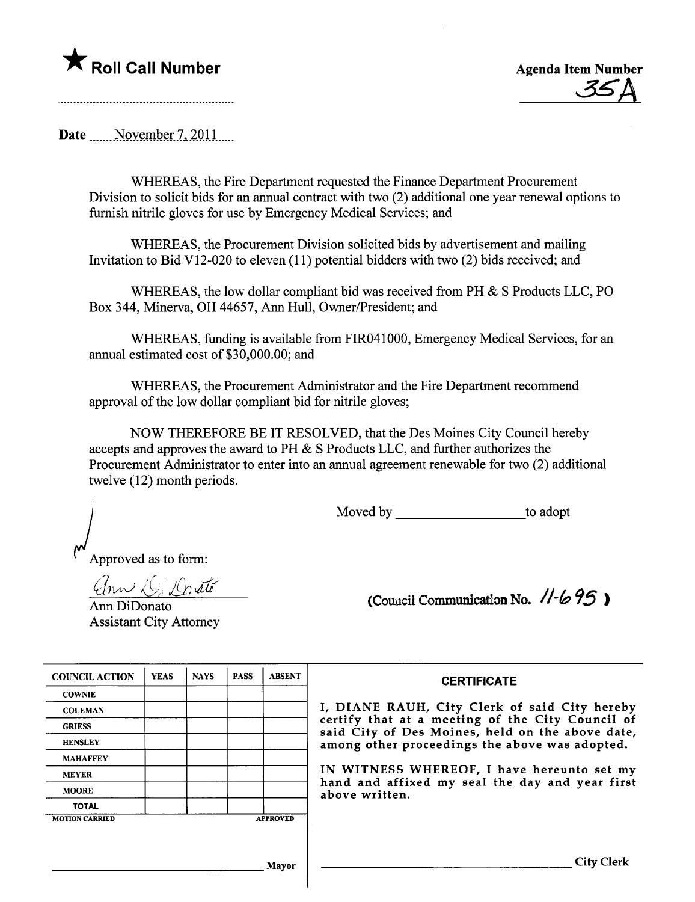

Date  $\sim$  November 7, 2011

WHEREAS, the Fire Deparment requested the Finance Deparment Procurement Division to solicit bids for an annual contract with two (2) additional one year renewal options to furnish nitrile gloves for use by Emergency Medical Services; and

WHEREAS, the Procurement Division solicited bids by advertisement and mailing Invitation to Bid V12-020 to eleven (11) potential bidders with two (2) bids received; and

WHEREAS, the low dollar compliant bid was received from PH & S Products LLC, PO Box 344, Minerva, OH 44657, Ann Hull, Owner/President; and

WHEREAS, funding is available from FIR041000, Emergency Medical Services, for an anual estimated cost of \$30,000.00; and

WHEREAS, the Procurement Administrator and the Fire Department recommend approval of the low dollar compliant bid for nitrile gloves;

NOW THEREFORE BE IT RESOLVED, that the Des Moines City Council hereby accepts and approves the award to  $PH & S$  Products LLC, and further authorizes the Procurement Administrator to enter into an anual agreement renewable for two (2) additional twelve (12) month periods.

Moved by to adopt

Approved as to form:

ann Di Donate

Ann DiDonato Assistant City Attorney

| (Council Communication No. 11-695) |  |  |  |
|------------------------------------|--|--|--|
|------------------------------------|--|--|--|

| <b>COUNCIL ACTION</b> | <b>YEAS</b> | <b>NAYS</b> | <b>PASS</b> | <b>ABSENT</b>   | <b>CERTIFICATE</b>                                               |
|-----------------------|-------------|-------------|-------------|-----------------|------------------------------------------------------------------|
| <b>COWNIE</b>         |             |             |             |                 |                                                                  |
| <b>COLEMAN</b>        |             |             |             |                 | I, DIANE RAUH, City Clerk o                                      |
| <b>GRIESS</b>         |             |             |             |                 | certify that at a meeting of tl<br>said City of Des Moines, held |
| <b>HENSLEY</b>        |             |             |             |                 | among other proceedings the al                                   |
| <b>MAHAFFEY</b>       |             |             |             |                 |                                                                  |
| <b>MEYER</b>          |             |             |             |                 | IN WITNESS WHEREOF, I have                                       |
| <b>MOORE</b>          |             |             |             |                 | hand and affixed my seal the<br>above written.                   |
| <b>TOTAL</b>          |             |             |             |                 |                                                                  |
| <b>MOTION CARRIED</b> |             |             |             | <b>APPROVED</b> |                                                                  |

| <b>DUNCIL ACTION</b> | <b>YEAS</b> | <b>NAYS</b> | <b>PASS</b> | <b>ABSENT</b>   | <b>CERTIFICATE</b>                                                                                   |
|----------------------|-------------|-------------|-------------|-----------------|------------------------------------------------------------------------------------------------------|
| COWNIE               |             |             |             |                 |                                                                                                      |
| <b>COLEMAN</b>       |             |             |             |                 | I, DIANE RAUH, City Clerk of said City hereby                                                        |
| CRIESS               |             |             |             |                 | certify that at a meeting of the City Council of<br>said City of Des Moines, held on the above date, |
| HENSLEY              |             |             |             |                 | among other proceedings the above was adopted.                                                       |
| <b>MAHAFFEY</b>      |             |             |             |                 |                                                                                                      |
| MEYER                |             |             |             |                 | IN WITNESS WHEREOF, I have hereunto set my                                                           |
| MOORE                |             |             |             |                 | hand and affixed my seal the day and year first<br>above written.                                    |
| <b>TOTAL</b>         |             |             |             |                 |                                                                                                      |
| <b>ITION CARRIED</b> |             |             |             | <b>APPROVED</b> |                                                                                                      |